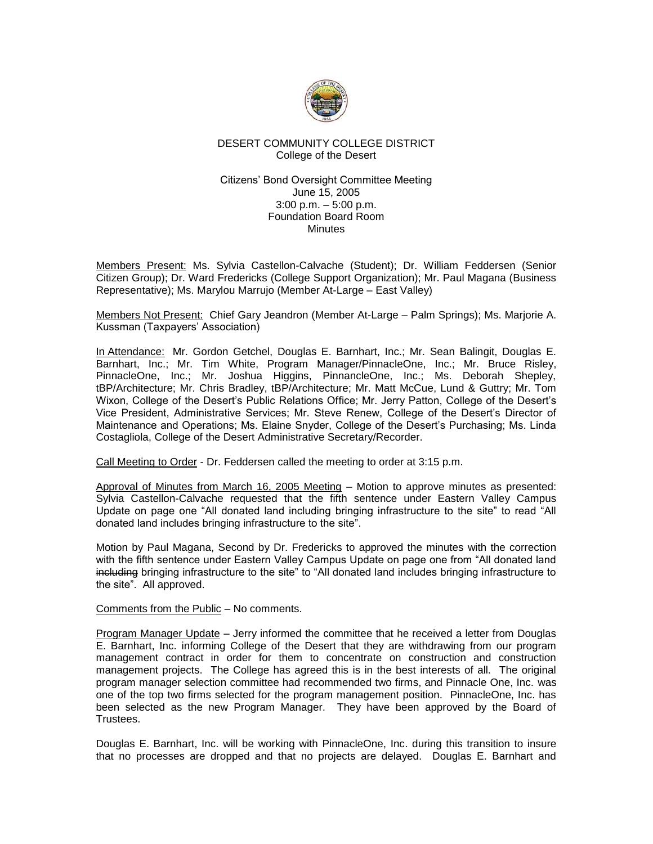

# DESERT COMMUNITY COLLEGE DISTRICT College of the Desert

## Citizens' Bond Oversight Committee Meeting June 15, 2005 3:00 p.m. – 5:00 p.m. Foundation Board Room **Minutes**

Members Present: Ms. Sylvia Castellon-Calvache (Student); Dr. William Feddersen (Senior Citizen Group); Dr. Ward Fredericks (College Support Organization); Mr. Paul Magana (Business Representative); Ms. Marylou Marrujo (Member At-Large – East Valley)

Members Not Present: Chief Gary Jeandron (Member At-Large – Palm Springs); Ms. Marjorie A. Kussman (Taxpayers' Association)

In Attendance: Mr. Gordon Getchel, Douglas E. Barnhart, Inc.; Mr. Sean Balingit, Douglas E. Barnhart, Inc.; Mr. Tim White, Program Manager/PinnacleOne, Inc.; Mr. Bruce Risley, PinnacleOne, Inc.; Mr. Joshua Higgins, PinnancleOne, Inc.; Ms. Deborah Shepley, tBP/Architecture; Mr. Chris Bradley, tBP/Architecture; Mr. Matt McCue, Lund & Guttry; Mr. Tom Wixon, College of the Desert's Public Relations Office; Mr. Jerry Patton, College of the Desert's Vice President, Administrative Services; Mr. Steve Renew, College of the Desert's Director of Maintenance and Operations; Ms. Elaine Snyder, College of the Desert's Purchasing; Ms. Linda Costagliola, College of the Desert Administrative Secretary/Recorder.

Call Meeting to Order - Dr. Feddersen called the meeting to order at 3:15 p.m.

Approval of Minutes from March 16, 2005 Meeting – Motion to approve minutes as presented: Sylvia Castellon-Calvache requested that the fifth sentence under Eastern Valley Campus Update on page one "All donated land including bringing infrastructure to the site" to read "All donated land includes bringing infrastructure to the site".

Motion by Paul Magana, Second by Dr. Fredericks to approved the minutes with the correction with the fifth sentence under Eastern Valley Campus Update on page one from "All donated land including bringing infrastructure to the site" to "All donated land includes bringing infrastructure to the site". All approved.

Comments from the Public – No comments.

Program Manager Update – Jerry informed the committee that he received a letter from Douglas E. Barnhart, Inc. informing College of the Desert that they are withdrawing from our program management contract in order for them to concentrate on construction and construction management projects. The College has agreed this is in the best interests of all. The original program manager selection committee had recommended two firms, and Pinnacle One, Inc. was one of the top two firms selected for the program management position. PinnacleOne, Inc. has been selected as the new Program Manager. They have been approved by the Board of Trustees.

Douglas E. Barnhart, Inc. will be working with PinnacleOne, Inc. during this transition to insure that no processes are dropped and that no projects are delayed. Douglas E. Barnhart and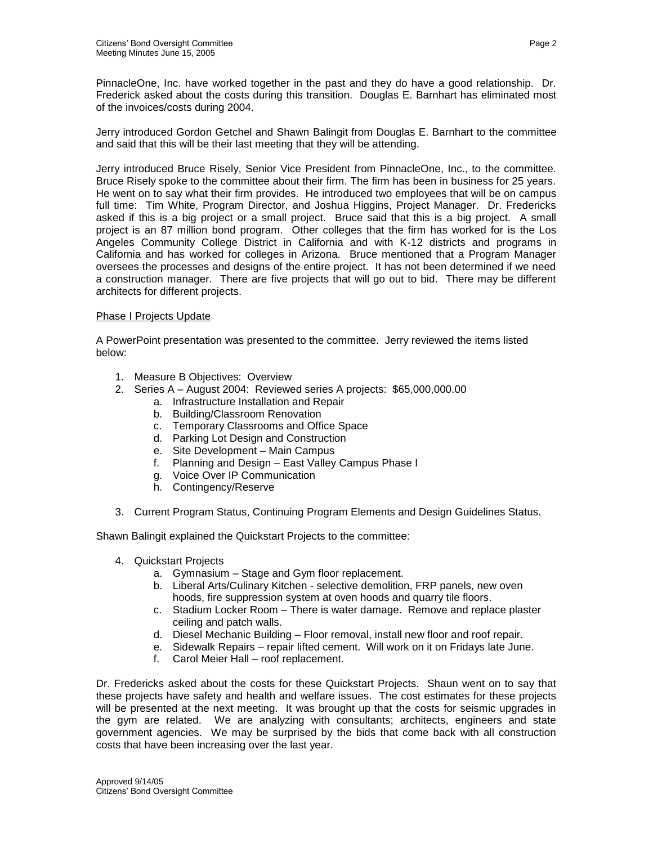PinnacleOne, Inc. have worked together in the past and they do have a good relationship. Dr. Frederick asked about the costs during this transition. Douglas E. Barnhart has eliminated most of the invoices/costs during 2004.

Jerry introduced Gordon Getchel and Shawn Balingit from Douglas E. Barnhart to the committee and said that this will be their last meeting that they will be attending.

Jerry introduced Bruce Risely, Senior Vice President from PinnacleOne, Inc., to the committee. Bruce Risely spoke to the committee about their firm. The firm has been in business for 25 years. He went on to say what their firm provides. He introduced two employees that will be on campus full time: Tim White, Program Director, and Joshua Higgins, Project Manager. Dr. Fredericks asked if this is a big project or a small project. Bruce said that this is a big project. A small project is an 87 million bond program. Other colleges that the firm has worked for is the Los Angeles Community College District in California and with K-12 districts and programs in California and has worked for colleges in Arizona. Bruce mentioned that a Program Manager oversees the processes and designs of the entire project. It has not been determined if we need a construction manager. There are five projects that will go out to bid. There may be different architects for different projects.

# Phase I Projects Update

A PowerPoint presentation was presented to the committee. Jerry reviewed the items listed below:

- 1. Measure B Objectives: Overview
- 2. Series A August 2004: Reviewed series A projects: \$65,000,000.00
	- a. Infrastructure Installation and Repair
	- b. Building/Classroom Renovation
	- c. Temporary Classrooms and Office Space
	- d. Parking Lot Design and Construction
	- e. Site Development Main Campus
	- f. Planning and Design East Valley Campus Phase I
	- g. Voice Over IP Communication
	- h. Contingency/Reserve
- 3. Current Program Status, Continuing Program Elements and Design Guidelines Status.

Shawn Balingit explained the Quickstart Projects to the committee:

- 4. Quickstart Projects
	- a. Gymnasium Stage and Gym floor replacement.
	- b. Liberal Arts/Culinary Kitchen selective demolition, FRP panels, new oven hoods, fire suppression system at oven hoods and quarry tile floors.
	- c. Stadium Locker Room There is water damage. Remove and replace plaster ceiling and patch walls.
	- d. Diesel Mechanic Building Floor removal, install new floor and roof repair.
	- e. Sidewalk Repairs repair lifted cement. Will work on it on Fridays late June.
	- f. Carol Meier Hall roof replacement.

Dr. Fredericks asked about the costs for these Quickstart Projects. Shaun went on to say that these projects have safety and health and welfare issues. The cost estimates for these projects will be presented at the next meeting. It was brought up that the costs for seismic upgrades in the gym are related. We are analyzing with consultants; architects, engineers and state government agencies. We may be surprised by the bids that come back with all construction costs that have been increasing over the last year.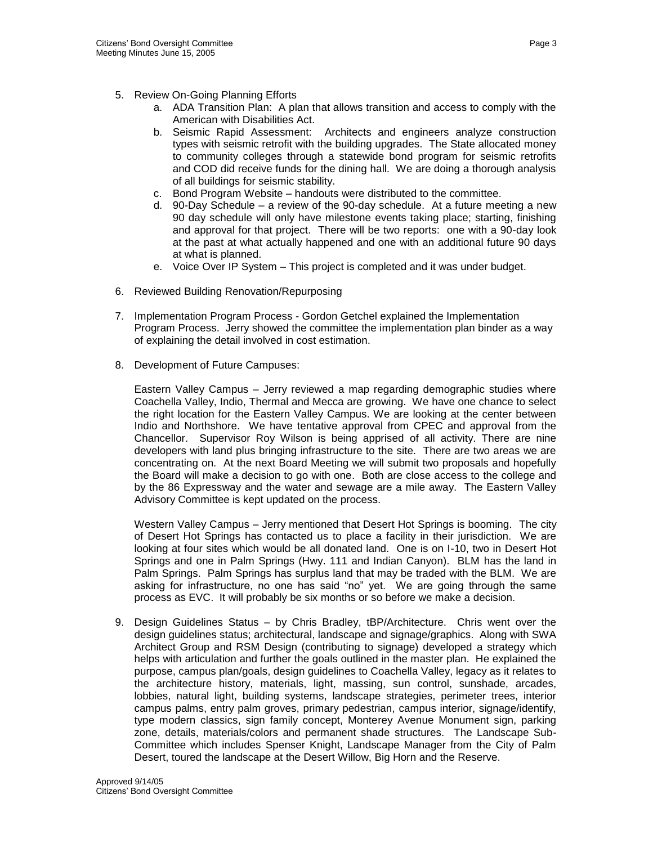- 5. Review On-Going Planning Efforts
	- a. ADA Transition Plan: A plan that allows transition and access to comply with the American with Disabilities Act.
	- b. Seismic Rapid Assessment: Architects and engineers analyze construction types with seismic retrofit with the building upgrades. The State allocated money to community colleges through a statewide bond program for seismic retrofits and COD did receive funds for the dining hall. We are doing a thorough analysis of all buildings for seismic stability.
	- c. Bond Program Website handouts were distributed to the committee.
	- d. 90-Day Schedule a review of the 90-day schedule. At a future meeting a new 90 day schedule will only have milestone events taking place; starting, finishing and approval for that project. There will be two reports: one with a 90-day look at the past at what actually happened and one with an additional future 90 days at what is planned.
	- e. Voice Over IP System This project is completed and it was under budget.
- 6. Reviewed Building Renovation/Repurposing
- 7. Implementation Program Process Gordon Getchel explained the Implementation Program Process. Jerry showed the committee the implementation plan binder as a way of explaining the detail involved in cost estimation.
- 8. Development of Future Campuses:

Eastern Valley Campus – Jerry reviewed a map regarding demographic studies where Coachella Valley, Indio, Thermal and Mecca are growing. We have one chance to select the right location for the Eastern Valley Campus. We are looking at the center between Indio and Northshore. We have tentative approval from CPEC and approval from the Chancellor. Supervisor Roy Wilson is being apprised of all activity. There are nine developers with land plus bringing infrastructure to the site. There are two areas we are concentrating on. At the next Board Meeting we will submit two proposals and hopefully the Board will make a decision to go with one. Both are close access to the college and by the 86 Expressway and the water and sewage are a mile away. The Eastern Valley Advisory Committee is kept updated on the process.

Western Valley Campus – Jerry mentioned that Desert Hot Springs is booming. The city of Desert Hot Springs has contacted us to place a facility in their jurisdiction. We are looking at four sites which would be all donated land. One is on I-10, two in Desert Hot Springs and one in Palm Springs (Hwy. 111 and Indian Canyon). BLM has the land in Palm Springs. Palm Springs has surplus land that may be traded with the BLM. We are asking for infrastructure, no one has said "no" yet. We are going through the same process as EVC. It will probably be six months or so before we make a decision.

9. Design Guidelines Status – by Chris Bradley, tBP/Architecture. Chris went over the design guidelines status; architectural, landscape and signage/graphics. Along with SWA Architect Group and RSM Design (contributing to signage) developed a strategy which helps with articulation and further the goals outlined in the master plan. He explained the purpose, campus plan/goals, design guidelines to Coachella Valley, legacy as it relates to the architecture history, materials, light, massing, sun control, sunshade, arcades, lobbies, natural light, building systems, landscape strategies, perimeter trees, interior campus palms, entry palm groves, primary pedestrian, campus interior, signage/identify, type modern classics, sign family concept, Monterey Avenue Monument sign, parking zone, details, materials/colors and permanent shade structures. The Landscape Sub-Committee which includes Spenser Knight, Landscape Manager from the City of Palm Desert, toured the landscape at the Desert Willow, Big Horn and the Reserve.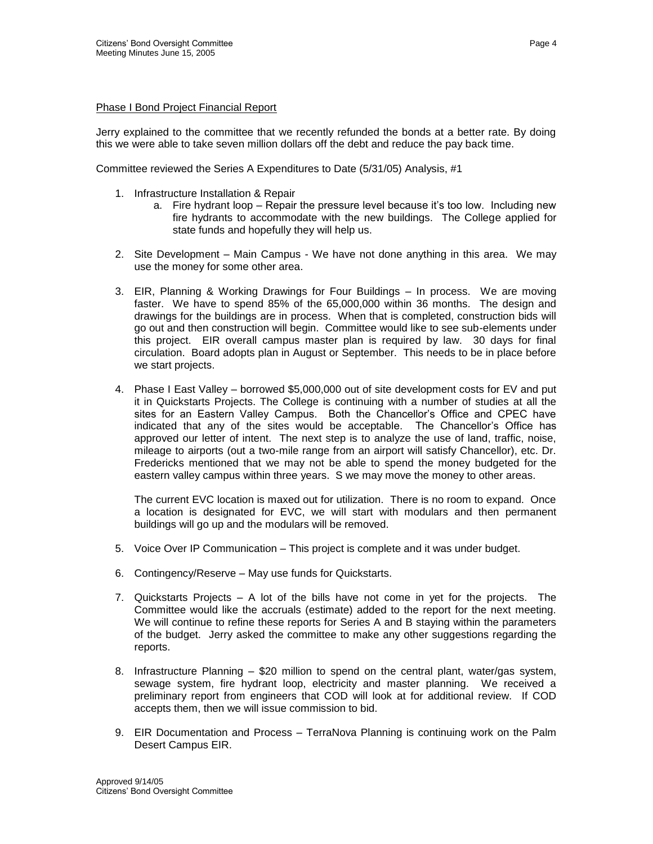## Phase I Bond Project Financial Report

Jerry explained to the committee that we recently refunded the bonds at a better rate. By doing this we were able to take seven million dollars off the debt and reduce the pay back time.

Committee reviewed the Series A Expenditures to Date (5/31/05) Analysis, #1

- 1. Infrastructure Installation & Repair
	- a. Fire hydrant loop Repair the pressure level because it's too low. Including new fire hydrants to accommodate with the new buildings. The College applied for state funds and hopefully they will help us.
- 2. Site Development Main Campus We have not done anything in this area. We may use the money for some other area.
- 3. EIR, Planning & Working Drawings for Four Buildings In process. We are moving faster. We have to spend 85% of the 65,000,000 within 36 months. The design and drawings for the buildings are in process. When that is completed, construction bids will go out and then construction will begin. Committee would like to see sub-elements under this project. EIR overall campus master plan is required by law. 30 days for final circulation. Board adopts plan in August or September. This needs to be in place before we start projects.
- 4. Phase I East Valley borrowed \$5,000,000 out of site development costs for EV and put it in Quickstarts Projects. The College is continuing with a number of studies at all the sites for an Eastern Valley Campus. Both the Chancellor's Office and CPEC have indicated that any of the sites would be acceptable. The Chancellor's Office has approved our letter of intent. The next step is to analyze the use of land, traffic, noise, mileage to airports (out a two-mile range from an airport will satisfy Chancellor), etc. Dr. Fredericks mentioned that we may not be able to spend the money budgeted for the eastern valley campus within three years. S we may move the money to other areas.

The current EVC location is maxed out for utilization. There is no room to expand. Once a location is designated for EVC, we will start with modulars and then permanent buildings will go up and the modulars will be removed.

- 5. Voice Over IP Communication This project is complete and it was under budget.
- 6. Contingency/Reserve May use funds for Quickstarts.
- 7. Quickstarts Projects A lot of the bills have not come in yet for the projects. The Committee would like the accruals (estimate) added to the report for the next meeting. We will continue to refine these reports for Series A and B staying within the parameters of the budget. Jerry asked the committee to make any other suggestions regarding the reports.
- 8. Infrastructure Planning \$20 million to spend on the central plant, water/gas system, sewage system, fire hydrant loop, electricity and master planning. We received a preliminary report from engineers that COD will look at for additional review. If COD accepts them, then we will issue commission to bid.
- 9. EIR Documentation and Process TerraNova Planning is continuing work on the Palm Desert Campus EIR.